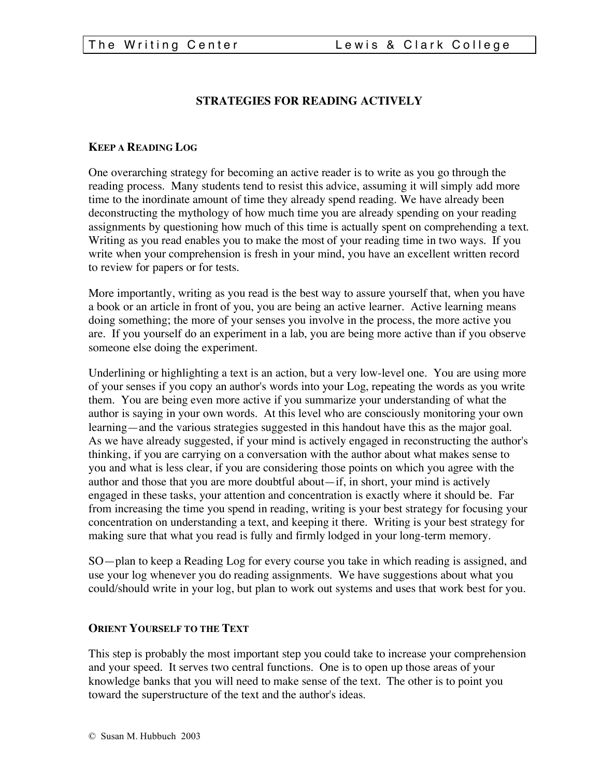#### **STRATEGIES FOR READING ACTIVELY**

#### **KEEP A READING LOG**

One overarching strategy for becoming an active reader is to write as you go through the reading process. Many students tend to resist this advice, assuming it will simply add more time to the inordinate amount of time they already spend reading. We have already been deconstructing the mythology of how much time you are already spending on your reading assignments by questioning how much of this time is actually spent on comprehending a text. Writing as you read enables you to make the most of your reading time in two ways. If you write when your comprehension is fresh in your mind, you have an excellent written record to review for papers or for tests.

More importantly, writing as you read is the best way to assure yourself that, when you have a book or an article in front of you, you are being an active learner. Active learning means doing something; the more of your senses you involve in the process, the more active you are. If you yourself do an experiment in a lab, you are being more active than if you observe someone else doing the experiment.

Underlining or highlighting a text is an action, but a very low-level one. You are using more of your senses if you copy an author's words into your Log, repeating the words as you write them. You are being even more active if you summarize your understanding of what the author is saying in your own words. At this level who are consciously monitoring your own learning—and the various strategies suggested in this handout have this as the major goal. As we have already suggested, if your mind is actively engaged in reconstructing the author's thinking, if you are carrying on a conversation with the author about what makes sense to you and what is less clear, if you are considering those points on which you agree with the author and those that you are more doubtful about—if, in short, your mind is actively engaged in these tasks, your attention and concentration is exactly where it should be. Far from increasing the time you spend in reading, writing is your best strategy for focusing your concentration on understanding a text, and keeping it there. Writing is your best strategy for making sure that what you read is fully and firmly lodged in your long-term memory.

SO—plan to keep a Reading Log for every course you take in which reading is assigned, and use your log whenever you do reading assignments. We have suggestions about what you could/should write in your log, but plan to work out systems and uses that work best for you.

#### **ORIENT YOURSELF TO THE TEXT**

This step is probably the most important step you could take to increase your comprehension and your speed. It serves two central functions. One is to open up those areas of your knowledge banks that you will need to make sense of the text. The other is to point you toward the superstructure of the text and the author's ideas.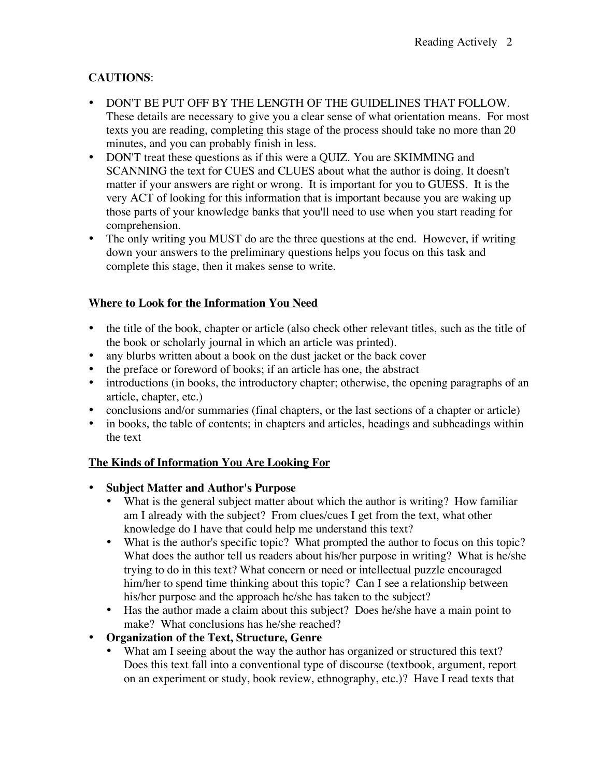# **CAUTIONS**:

- DON'T BE PUT OFF BY THE LENGTH OF THE GUIDELINES THAT FOLLOW. These details are necessary to give you a clear sense of what orientation means. For most texts you are reading, completing this stage of the process should take no more than 20 minutes, and you can probably finish in less.
- DON'T treat these questions as if this were a QUIZ. You are SKIMMING and SCANNING the text for CUES and CLUES about what the author is doing. It doesn't matter if your answers are right or wrong. It is important for you to GUESS. It is the very ACT of looking for this information that is important because you are waking up those parts of your knowledge banks that you'll need to use when you start reading for comprehension.
- The only writing you MUST do are the three questions at the end. However, if writing down your answers to the preliminary questions helps you focus on this task and complete this stage, then it makes sense to write.

## **Where to Look for the Information You Need**

- the title of the book, chapter or article (also check other relevant titles, such as the title of the book or scholarly journal in which an article was printed).
- any blurbs written about a book on the dust jacket or the back cover
- the preface or foreword of books; if an article has one, the abstract
- introductions (in books, the introductory chapter; otherwise, the opening paragraphs of an article, chapter, etc.)
- conclusions and/or summaries (final chapters, or the last sections of a chapter or article)
- in books, the table of contents; in chapters and articles, headings and subheadings within the text

### **The Kinds of Information You Are Looking For**

### • **Subject Matter and Author's Purpose**

- What is the general subject matter about which the author is writing? How familiar am I already with the subject? From clues/cues I get from the text, what other knowledge do I have that could help me understand this text?
- What is the author's specific topic? What prompted the author to focus on this topic? What does the author tell us readers about his/her purpose in writing? What is he/she trying to do in this text? What concern or need or intellectual puzzle encouraged him/her to spend time thinking about this topic? Can I see a relationship between his/her purpose and the approach he/she has taken to the subject?
- Has the author made a claim about this subject? Does he/she have a main point to make? What conclusions has he/she reached?

## • **Organization of the Text, Structure, Genre**

What am I seeing about the way the author has organized or structured this text? Does this text fall into a conventional type of discourse (textbook, argument, report on an experiment or study, book review, ethnography, etc.)? Have I read texts that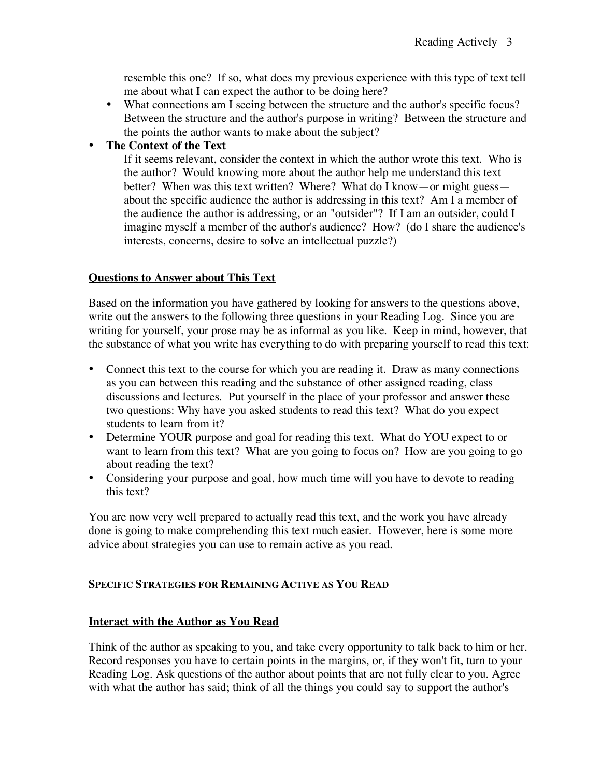resemble this one? If so, what does my previous experience with this type of text tell me about what I can expect the author to be doing here?

• What connections am I seeing between the structure and the author's specific focus? Between the structure and the author's purpose in writing? Between the structure and the points the author wants to make about the subject?

### • **The Context of the Text**

If it seems relevant, consider the context in which the author wrote this text. Who is the author? Would knowing more about the author help me understand this text better? When was this text written? Where? What do I know—or might guess about the specific audience the author is addressing in this text? Am I a member of the audience the author is addressing, or an "outsider"? If I am an outsider, could I imagine myself a member of the author's audience? How? (do I share the audience's interests, concerns, desire to solve an intellectual puzzle?)

### **Questions to Answer about This Text**

Based on the information you have gathered by looking for answers to the questions above, write out the answers to the following three questions in your Reading Log. Since you are writing for yourself, your prose may be as informal as you like. Keep in mind, however, that the substance of what you write has everything to do with preparing yourself to read this text:

- Connect this text to the course for which you are reading it. Draw as many connections as you can between this reading and the substance of other assigned reading, class discussions and lectures. Put yourself in the place of your professor and answer these two questions: Why have you asked students to read this text? What do you expect students to learn from it?
- Determine YOUR purpose and goal for reading this text. What do YOU expect to or want to learn from this text? What are you going to focus on? How are you going to go about reading the text?
- Considering your purpose and goal, how much time will you have to devote to reading this text?

You are now very well prepared to actually read this text, and the work you have already done is going to make comprehending this text much easier. However, here is some more advice about strategies you can use to remain active as you read.

### **SPECIFIC STRATEGIES FOR REMAINING ACTIVE AS YOU READ**

### **Interact with the Author as You Read**

Think of the author as speaking to you, and take every opportunity to talk back to him or her. Record responses you have to certain points in the margins, or, if they won't fit, turn to your Reading Log. Ask questions of the author about points that are not fully clear to you. Agree with what the author has said; think of all the things you could say to support the author's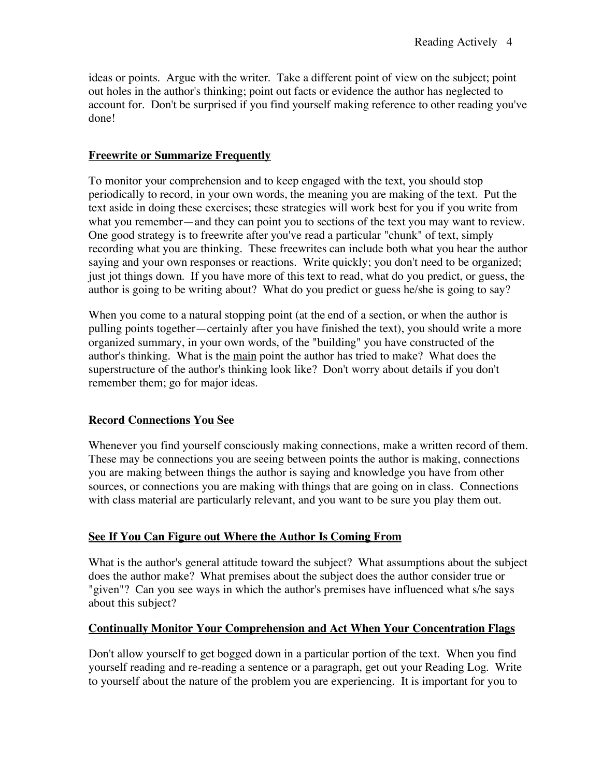ideas or points. Argue with the writer. Take a different point of view on the subject; point out holes in the author's thinking; point out facts or evidence the author has neglected to account for. Don't be surprised if you find yourself making reference to other reading you've done!

### **Freewrite or Summarize Frequently**

To monitor your comprehension and to keep engaged with the text, you should stop periodically to record, in your own words, the meaning you are making of the text. Put the text aside in doing these exercises; these strategies will work best for you if you write from what you remember—and they can point you to sections of the text you may want to review. One good strategy is to freewrite after you've read a particular "chunk" of text, simply recording what you are thinking. These freewrites can include both what you hear the author saying and your own responses or reactions. Write quickly; you don't need to be organized; just jot things down. If you have more of this text to read, what do you predict, or guess, the author is going to be writing about? What do you predict or guess he/she is going to say?

When you come to a natural stopping point (at the end of a section, or when the author is pulling points together—certainly after you have finished the text), you should write a more organized summary, in your own words, of the "building" you have constructed of the author's thinking. What is the main point the author has tried to make? What does the superstructure of the author's thinking look like? Don't worry about details if you don't remember them; go for major ideas.

### **Record Connections You See**

Whenever you find yourself consciously making connections, make a written record of them. These may be connections you are seeing between points the author is making, connections you are making between things the author is saying and knowledge you have from other sources, or connections you are making with things that are going on in class. Connections with class material are particularly relevant, and you want to be sure you play them out.

### **See If You Can Figure out Where the Author Is Coming From**

What is the author's general attitude toward the subject? What assumptions about the subject does the author make? What premises about the subject does the author consider true or "given"? Can you see ways in which the author's premises have influenced what s/he says about this subject?

### **Continually Monitor Your Comprehension and Act When Your Concentration Flags**

Don't allow yourself to get bogged down in a particular portion of the text. When you find yourself reading and re-reading a sentence or a paragraph, get out your Reading Log. Write to yourself about the nature of the problem you are experiencing. It is important for you to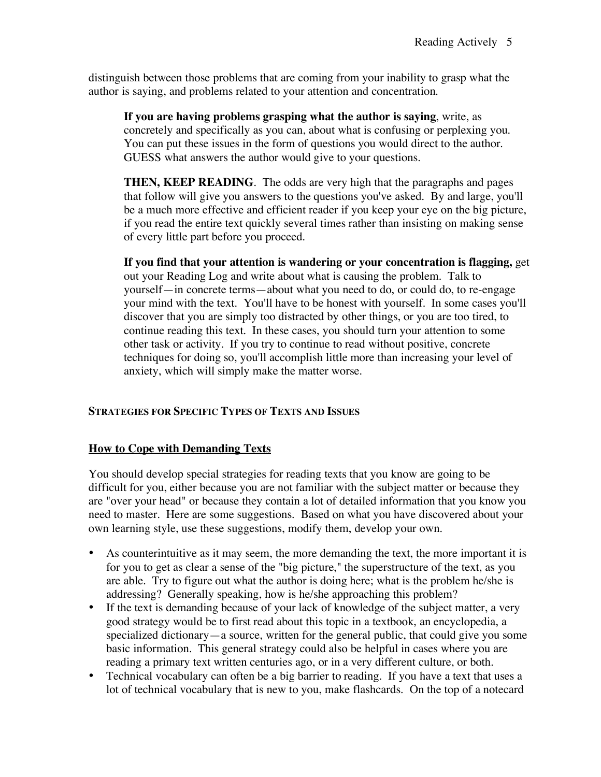distinguish between those problems that are coming from your inability to grasp what the author is saying, and problems related to your attention and concentration.

**If you are having problems grasping what the author is saying**, write, as concretely and specifically as you can, about what is confusing or perplexing you. You can put these issues in the form of questions you would direct to the author. GUESS what answers the author would give to your questions.

**THEN, KEEP READING**. The odds are very high that the paragraphs and pages that follow will give you answers to the questions you've asked. By and large, you'll be a much more effective and efficient reader if you keep your eye on the big picture, if you read the entire text quickly several times rather than insisting on making sense of every little part before you proceed.

**If you find that your attention is wandering or your concentration is flagging,** get out your Reading Log and write about what is causing the problem. Talk to yourself—in concrete terms—about what you need to do, or could do, to re-engage your mind with the text. You'll have to be honest with yourself. In some cases you'll discover that you are simply too distracted by other things, or you are too tired, to continue reading this text. In these cases, you should turn your attention to some other task or activity. If you try to continue to read without positive, concrete techniques for doing so, you'll accomplish little more than increasing your level of anxiety, which will simply make the matter worse.

### **STRATEGIES FOR SPECIFIC TYPES OF TEXTS AND ISSUES**

### **How to Cope with Demanding Texts**

You should develop special strategies for reading texts that you know are going to be difficult for you, either because you are not familiar with the subject matter or because they are "over your head" or because they contain a lot of detailed information that you know you need to master. Here are some suggestions. Based on what you have discovered about your own learning style, use these suggestions, modify them, develop your own.

- As counterintuitive as it may seem, the more demanding the text, the more important it is for you to get as clear a sense of the "big picture," the superstructure of the text, as you are able. Try to figure out what the author is doing here; what is the problem he/she is addressing? Generally speaking, how is he/she approaching this problem?
- If the text is demanding because of your lack of knowledge of the subject matter, a very good strategy would be to first read about this topic in a textbook, an encyclopedia, a specialized dictionary—a source, written for the general public, that could give you some basic information. This general strategy could also be helpful in cases where you are reading a primary text written centuries ago, or in a very different culture, or both.
- Technical vocabulary can often be a big barrier to reading. If you have a text that uses a lot of technical vocabulary that is new to you, make flashcards. On the top of a notecard